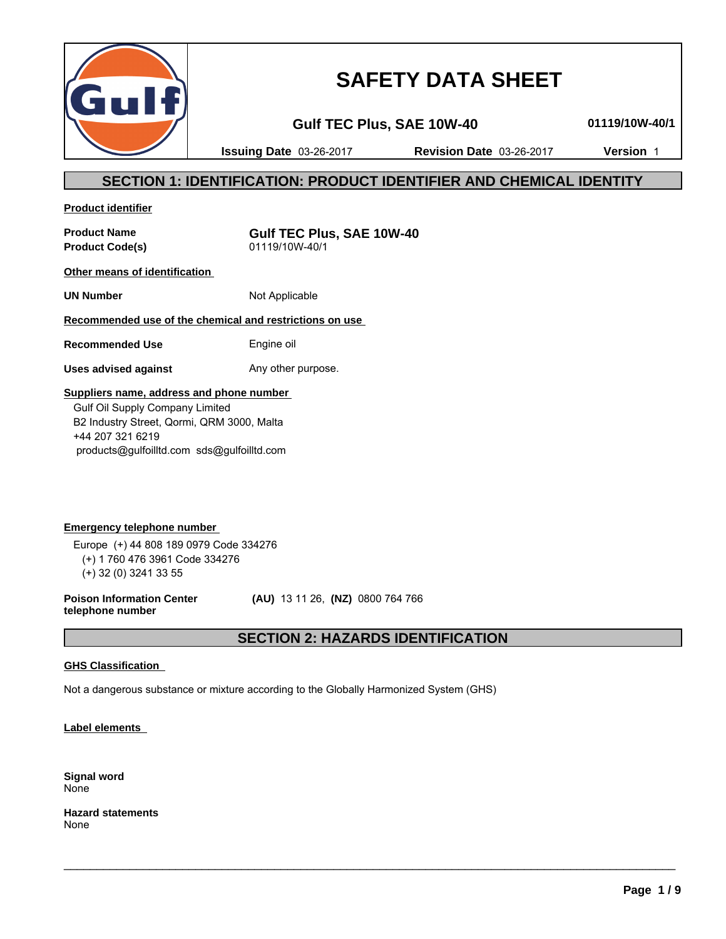

# **SAFETY DATA SHEET**

**Gulf TEC Plus, SAE 10W-40 01119/10W-40/1**

**Issuing Date** 03-26-2017 **Revision Date** 03-26-2017 **Version** 1

# **SECTION 1: IDENTIFICATION: PRODUCT IDENTIFIER AND CHEMICAL IDENTITY**

**Product identifier**

**Product Code(s)** 01119/10W-40/1

**Product Name Gulf TEC Plus, SAE 10W-40**

**Other means of identification** 

**UN Number** Not Applicable

### **Recommended use of the chemical and restrictions on use**

**Recommended Use** Engine oil

**Uses advised against** Any other purpose.

### **Suppliers name, address and phone number**

 Gulf Oil Supply Company Limited B2 Industry Street, Qormi, QRM 3000, Malta +44 207 321 6219 products@gulfoilltd.com sds@gulfoilltd.com

**Emergency telephone number**  Europe (+) 44 808 189 0979 Code 334276 (+) 1 760 476 3961 Code 334276 (+) 32 (0) 3241 33 55

**Poison Information Center telephone number**

 **(AU)** 13 11 26, **(NZ)** 0800 764 766

# **SECTION 2: HAZARDS IDENTIFICATION**

 $\_$  ,  $\_$  ,  $\_$  ,  $\_$  ,  $\_$  ,  $\_$  ,  $\_$  ,  $\_$  ,  $\_$  ,  $\_$  ,  $\_$  ,  $\_$  ,  $\_$  ,  $\_$  ,  $\_$  ,  $\_$  ,  $\_$  ,  $\_$  ,  $\_$  ,  $\_$  ,  $\_$  ,  $\_$  ,  $\_$  ,  $\_$  ,  $\_$  ,  $\_$  ,  $\_$  ,  $\_$  ,  $\_$  ,  $\_$  ,  $\_$  ,  $\_$  ,  $\_$  ,  $\_$  ,  $\_$  ,  $\_$  ,  $\_$  ,

#### **GHS Classification**

Not a dangerous substance or mixture according to the Globally Harmonized System (GHS)

**Label elements** 

**Signal word** None

**Hazard statements** None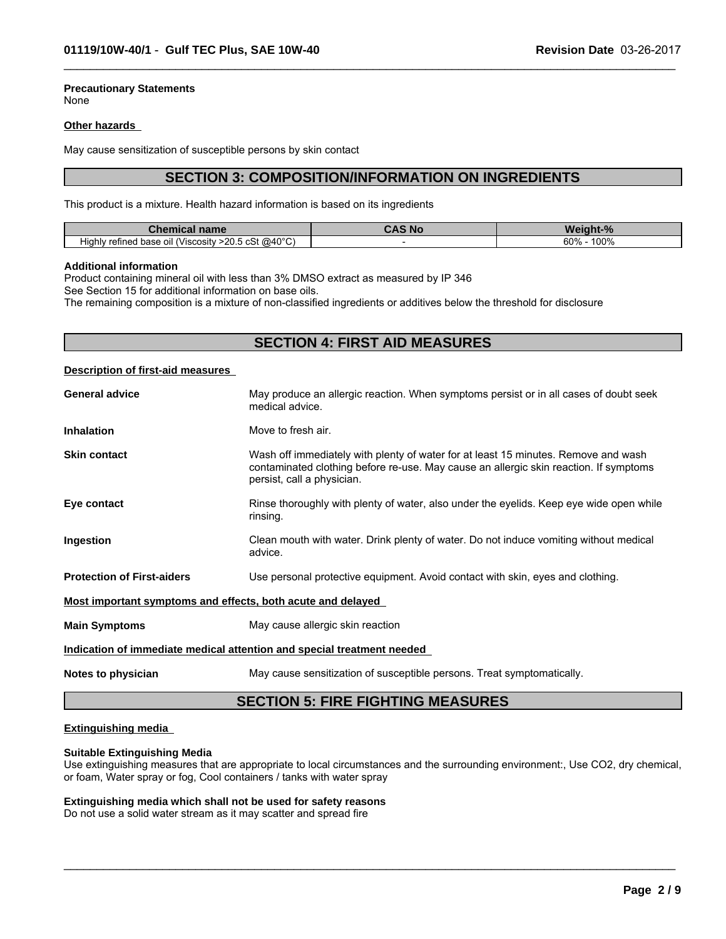# **Precautionary Statements**

None

#### **Other hazards**

May cause sensitization of susceptible persons by skin contact

# **SECTION 3: COMPOSITION/INFORMATION ON INGREDIENTS**

 $\_$  ,  $\_$  ,  $\_$  ,  $\_$  ,  $\_$  ,  $\_$  ,  $\_$  ,  $\_$  ,  $\_$  ,  $\_$  ,  $\_$  ,  $\_$  ,  $\_$  ,  $\_$  ,  $\_$  ,  $\_$  ,  $\_$  ,  $\_$  ,  $\_$  ,  $\_$  ,  $\_$  ,  $\_$  ,  $\_$  ,  $\_$  ,  $\_$  ,  $\_$  ,  $\_$  ,  $\_$  ,  $\_$  ,  $\_$  ,  $\_$  ,  $\_$  ,  $\_$  ,  $\_$  ,  $\_$  ,  $\_$  ,  $\_$  ,

This product is a mixture. Health hazard information is based on its ingredients

| name<br>Chemical                                                                                                                    | א כֿ S<br><b>SOM</b> | andhi ann an S<br>M<br>70 |
|-------------------------------------------------------------------------------------------------------------------------------------|----------------------|---------------------------|
| . @40°C<br>$\cdots$<br>$. \wedge$ $\mathbb{C}^+$<br>$\sim$ $\Omega$<br>'Viscositv⊹<br>Highly<br>refined base of<br>- >20.5 CSL<br>. |                      | $100^\circ$<br>60%        |

#### **Additional information**

Product containing mineral oil with less than 3% DMSO extract as measured by IP 346 See Section 15 for additional information on base oils.

The remaining composition is a mixture of non-classified ingredients or additives below the threshold for disclosure

# **SECTION 4: FIRST AID MEASURES**

#### **Description of first-aid measures**

| Ingestion<br>advice.<br><b>Protection of First-aiders</b> | Use personal protective equipment. Avoid contact with skin, eyes and clothing.                                                                                                                            |
|-----------------------------------------------------------|-----------------------------------------------------------------------------------------------------------------------------------------------------------------------------------------------------------|
|                                                           |                                                                                                                                                                                                           |
|                                                           |                                                                                                                                                                                                           |
|                                                           | Clean mouth with water. Drink plenty of water. Do not induce vomiting without medical                                                                                                                     |
| Eye contact<br>rinsing.                                   | Rinse thoroughly with plenty of water, also under the eyelids. Keep eye wide open while                                                                                                                   |
| <b>Skin contact</b>                                       | Wash off immediately with plenty of water for at least 15 minutes. Remove and wash<br>contaminated clothing before re-use. May cause an allergic skin reaction. If symptoms<br>persist, call a physician. |
| <b>Inhalation</b>                                         | Move to fresh air.                                                                                                                                                                                        |
| <b>General advice</b>                                     | May produce an allergic reaction. When symptoms persist or in all cases of doubt seek<br>medical advice.                                                                                                  |

# **Extinguishing media**

#### **Suitable Extinguishing Media**

Use extinguishing measures that are appropriate to local circumstances and the surrounding environment:, Use CO2, dry chemical, or foam, Water spray or fog, Cool containers / tanks with water spray

 $\_$  ,  $\_$  ,  $\_$  ,  $\_$  ,  $\_$  ,  $\_$  ,  $\_$  ,  $\_$  ,  $\_$  ,  $\_$  ,  $\_$  ,  $\_$  ,  $\_$  ,  $\_$  ,  $\_$  ,  $\_$  ,  $\_$  ,  $\_$  ,  $\_$  ,  $\_$  ,  $\_$  ,  $\_$  ,  $\_$  ,  $\_$  ,  $\_$  ,  $\_$  ,  $\_$  ,  $\_$  ,  $\_$  ,  $\_$  ,  $\_$  ,  $\_$  ,  $\_$  ,  $\_$  ,  $\_$  ,  $\_$  ,  $\_$  ,

#### **Extinguishing media which shall not be used for safety reasons**

Do not use a solid water stream as it may scatter and spread fire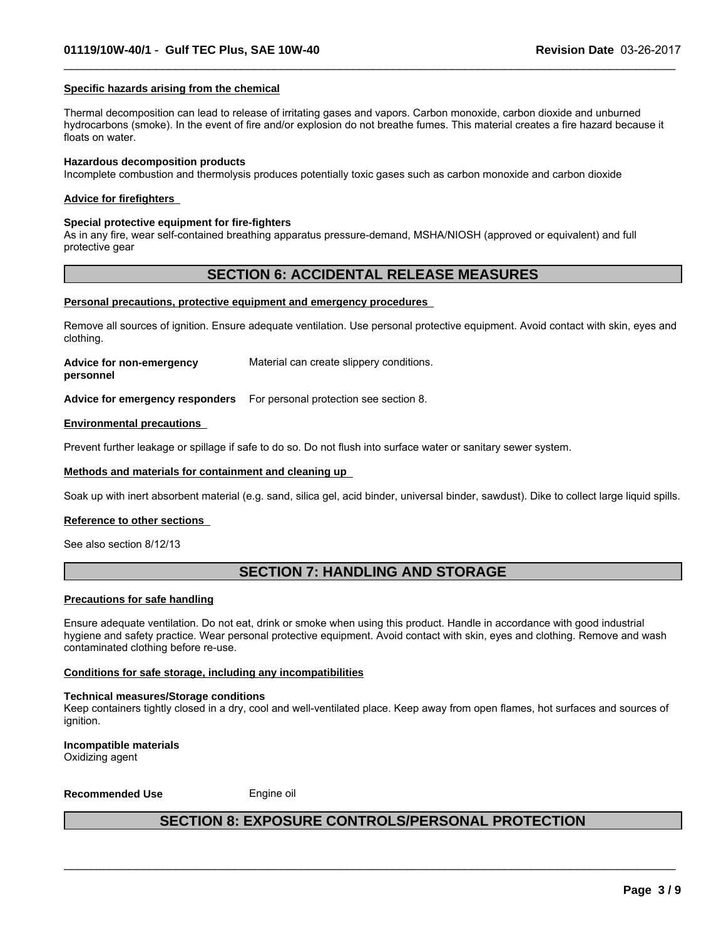#### **Specific hazards arising from the chemical**

Thermal decomposition can lead to release of irritating gases and vapors. Carbon monoxide, carbon dioxide and unburned hydrocarbons (smoke). In the event of fire and/or explosion do not breathe fumes. This material creates a fire hazard because it floats on water.

 $\_$  ,  $\_$  ,  $\_$  ,  $\_$  ,  $\_$  ,  $\_$  ,  $\_$  ,  $\_$  ,  $\_$  ,  $\_$  ,  $\_$  ,  $\_$  ,  $\_$  ,  $\_$  ,  $\_$  ,  $\_$  ,  $\_$  ,  $\_$  ,  $\_$  ,  $\_$  ,  $\_$  ,  $\_$  ,  $\_$  ,  $\_$  ,  $\_$  ,  $\_$  ,  $\_$  ,  $\_$  ,  $\_$  ,  $\_$  ,  $\_$  ,  $\_$  ,  $\_$  ,  $\_$  ,  $\_$  ,  $\_$  ,  $\_$  ,

#### **Hazardous decomposition products**

Incomplete combustion and thermolysis produces potentially toxic gases such as carbon monoxide and carbon dioxide

#### **Advice for firefighters**

#### **Special protective equipment for fire-fighters**

As in any fire, wear self-contained breathing apparatus pressure-demand, MSHA/NIOSH (approved or equivalent) and full protective gear

### **SECTION 6: ACCIDENTAL RELEASE MEASURES**

#### **Personal precautions, protective equipment and emergency procedures**

Remove all sources of ignition. Ensure adequate ventilation. Use personal protective equipment. Avoid contact with skin, eyes and clothing.

**Advice for non-emergency** Material can create slippery conditions.

**personnel**

**Advice for emergency responders** For personal protection see section 8.

#### **Environmental precautions**

Prevent further leakage or spillage if safe to do so. Do not flush into surface water or sanitary sewer system.

#### **Methods and materials for containment and cleaning up**

Soak up with inert absorbent material (e.g. sand, silica gel, acid binder, universal binder, sawdust). Dike to collect large liquid spills.

#### **Reference to other sections**

See also section 8/12/13

# **SECTION 7: HANDLING AND STORAGE**

#### **Precautions for safe handling**

Ensure adequate ventilation. Do not eat, drink or smoke when using this product. Handle in accordance with good industrial hygiene and safety practice. Wear personal protective equipment. Avoid contact with skin, eyes and clothing. Remove and wash contaminated clothing before re-use.

#### **Conditions for safe storage, including any incompatibilities**

#### **Technical measures/Storage conditions**

Keep containers tightly closed in a dry, cool and well-ventilated place. Keep away from open flames, hot surfaces and sources of ianition.

**Incompatible materials** Oxidizing agent

**Recommended Use** Engine oil

### **SECTION 8: EXPOSURE CONTROLS/PERSONAL PROTECTION**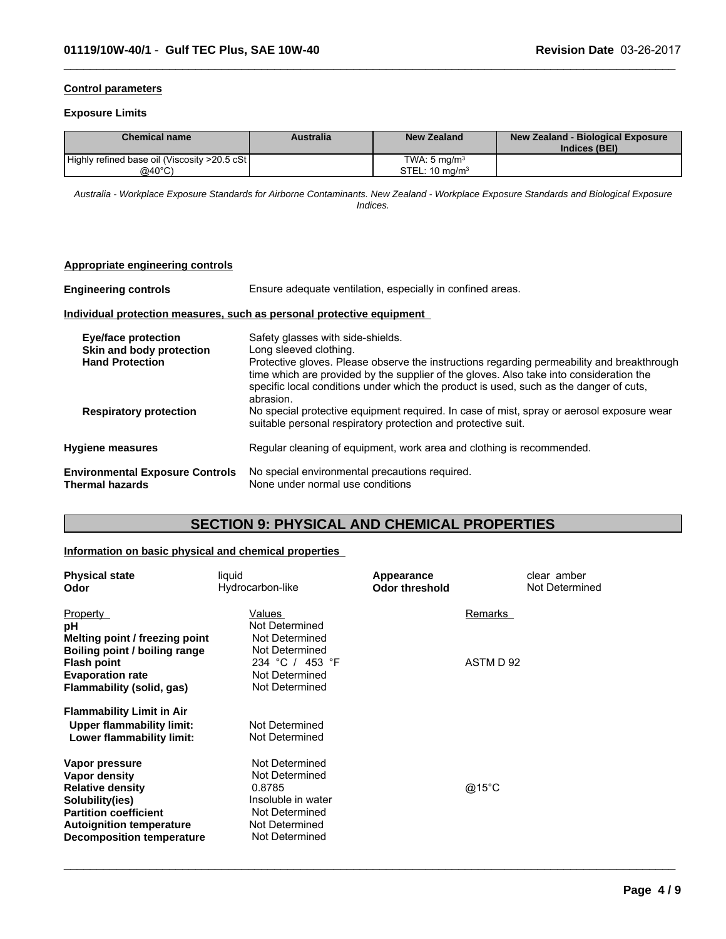#### **Control parameters**

#### **Exposure Limits**

| <b>Chemical name</b>                          | Australia | <b>New Zealand</b>        | New Zealand - Biological Exposure<br>Indices (BEI) |
|-----------------------------------------------|-----------|---------------------------|----------------------------------------------------|
| Highly refined base oil (Viscosity >20.5 cSt) |           | TWA: 5 ma/m <sup>3</sup>  |                                                    |
| @40°C)                                        |           | STEL: $10 \text{ mg/m}^3$ |                                                    |

 $\_$  ,  $\_$  ,  $\_$  ,  $\_$  ,  $\_$  ,  $\_$  ,  $\_$  ,  $\_$  ,  $\_$  ,  $\_$  ,  $\_$  ,  $\_$  ,  $\_$  ,  $\_$  ,  $\_$  ,  $\_$  ,  $\_$  ,  $\_$  ,  $\_$  ,  $\_$  ,  $\_$  ,  $\_$  ,  $\_$  ,  $\_$  ,  $\_$  ,  $\_$  ,  $\_$  ,  $\_$  ,  $\_$  ,  $\_$  ,  $\_$  ,  $\_$  ,  $\_$  ,  $\_$  ,  $\_$  ,  $\_$  ,  $\_$  ,

*Australia - Workplace Exposure Standards for Airborne Contaminants. New Zealand - Workplace Exposure Standards and Biological Exposure Indices.*

#### **Appropriate engineering controls**

**Engineering controls** Ensure adequate ventilation, especially in confined areas.

#### **Individual protection measures, such as personal protective equipment**

| Eye/face protection<br>Skin and body protection           | Safety glasses with side-shields.<br>Long sleeved clothing.                                                                                                                                                                                                                                  |
|-----------------------------------------------------------|----------------------------------------------------------------------------------------------------------------------------------------------------------------------------------------------------------------------------------------------------------------------------------------------|
| <b>Hand Protection</b>                                    | Protective gloves. Please observe the instructions regarding permeability and breakthrough<br>time which are provided by the supplier of the gloves. Also take into consideration the<br>specific local conditions under which the product is used, such as the danger of cuts,<br>abrasion. |
| <b>Respiratory protection</b>                             | No special protective equipment required. In case of mist, spray or aerosol exposure wear<br>suitable personal respiratory protection and protective suit.                                                                                                                                   |
| <b>Hygiene measures</b>                                   | Regular cleaning of equipment, work area and clothing is recommended.                                                                                                                                                                                                                        |
| <b>Environmental Exposure Controls</b><br>Thermal hazards | No special environmental precautions required.<br>None under normal use conditions                                                                                                                                                                                                           |

# **SECTION 9: PHYSICAL AND CHEMICAL PROPERTIES**

#### **Information on basic physical and chemical properties**

| <b>Physical state</b><br>Odor    | liquid<br>Hydrocarbon-like | Appearance<br><b>Odor threshold</b> | clear amber<br>Not Determined |
|----------------------------------|----------------------------|-------------------------------------|-------------------------------|
| Property                         | Values                     | Remarks                             |                               |
| pH                               | Not Determined             |                                     |                               |
| Melting point / freezing point   | Not Determined             |                                     |                               |
| Boiling point / boiling range    | Not Determined             |                                     |                               |
| <b>Flash point</b>               | 234 °C / 453 °F            | ASTM D 92                           |                               |
| <b>Evaporation rate</b>          | Not Determined             |                                     |                               |
| Flammability (solid, gas)        | Not Determined             |                                     |                               |
| <b>Flammability Limit in Air</b> |                            |                                     |                               |
| <b>Upper flammability limit:</b> | Not Determined             |                                     |                               |
| Lower flammability limit:        | Not Determined             |                                     |                               |
| Vapor pressure                   | Not Determined             |                                     |                               |
| Vapor density                    | Not Determined             |                                     |                               |
| <b>Relative density</b>          | 0.8785                     | @15°C                               |                               |
| Solubility(ies)                  | Insoluble in water         |                                     |                               |
| <b>Partition coefficient</b>     | Not Determined             |                                     |                               |
| <b>Autoignition temperature</b>  | Not Determined             |                                     |                               |
| <b>Decomposition temperature</b> | Not Determined             |                                     |                               |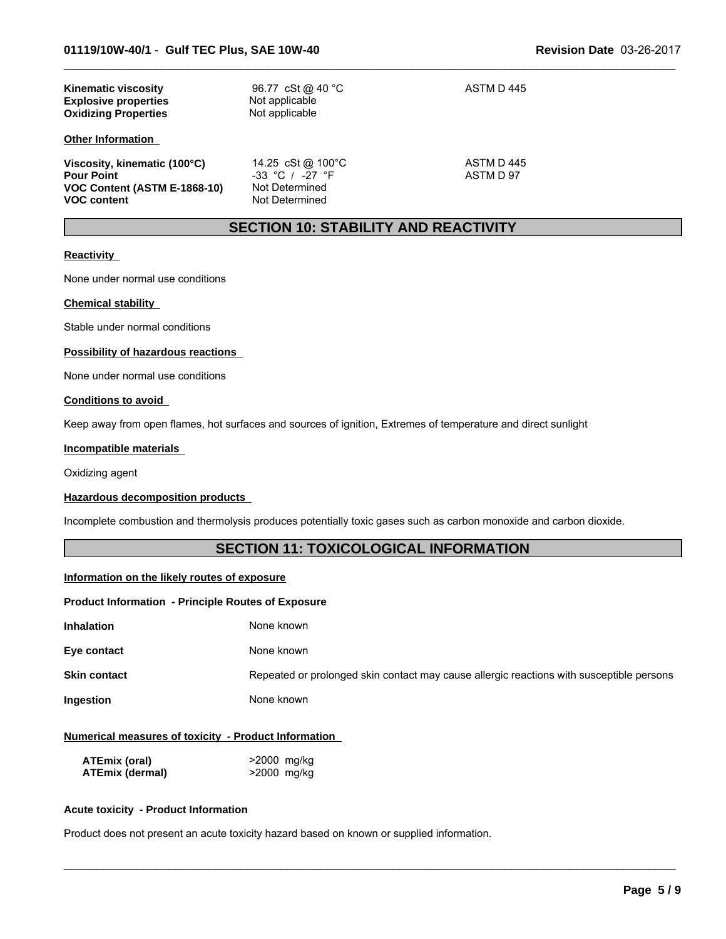| <b>Kinematic viscosity</b><br><b>Explosive properties</b><br><b>Oxidizing Properties</b>                | 96.77 cSt @ 40 °C<br>Not applicable<br>Not applicable                        | ASTM D 445              |
|---------------------------------------------------------------------------------------------------------|------------------------------------------------------------------------------|-------------------------|
| <b>Other Information</b>                                                                                |                                                                              |                         |
| Viscosity, kinematic (100°C)<br><b>Pour Point</b><br>VOC Content (ASTM E-1868-10)<br><b>VOC content</b> | 14.25 cSt @ 100°C<br>$-33$ °C / $-27$ °F<br>Not Determined<br>Not Determined | ASTM D 445<br>ASTM D 97 |

# **SECTION 10: STABILITY AND REACTIVITY**

 $\_$  ,  $\_$  ,  $\_$  ,  $\_$  ,  $\_$  ,  $\_$  ,  $\_$  ,  $\_$  ,  $\_$  ,  $\_$  ,  $\_$  ,  $\_$  ,  $\_$  ,  $\_$  ,  $\_$  ,  $\_$  ,  $\_$  ,  $\_$  ,  $\_$  ,  $\_$  ,  $\_$  ,  $\_$  ,  $\_$  ,  $\_$  ,  $\_$  ,  $\_$  ,  $\_$  ,  $\_$  ,  $\_$  ,  $\_$  ,  $\_$  ,  $\_$  ,  $\_$  ,  $\_$  ,  $\_$  ,  $\_$  ,  $\_$  ,

#### **Reactivity**

None under normal use conditions

#### **Chemical stability**

Stable under normal conditions

#### **Possibility of hazardous reactions**

None under normal use conditions

#### **Conditions to avoid**

Keep away from open flames, hot surfaces and sources of ignition, Extremes of temperature and direct sunlight

#### **Incompatible materials**

Oxidizing agent

#### **Hazardous decomposition products**

Incomplete combustion and thermolysis produces potentially toxic gases such as carbon monoxide and carbon dioxide.

# **SECTION 11: TOXICOLOGICAL INFORMATION**

#### **Information on the likely routes of exposure**

#### **Product Information - Principle Routes of Exposure**

| Inhalation<br>None known |
|--------------------------|
|--------------------------|

**Eye contact** None known

**Skin contact** Repeated or prolonged skin contact may cause allergic reactions with susceptible persons

 $\_$  ,  $\_$  ,  $\_$  ,  $\_$  ,  $\_$  ,  $\_$  ,  $\_$  ,  $\_$  ,  $\_$  ,  $\_$  ,  $\_$  ,  $\_$  ,  $\_$  ,  $\_$  ,  $\_$  ,  $\_$  ,  $\_$  ,  $\_$  ,  $\_$  ,  $\_$  ,  $\_$  ,  $\_$  ,  $\_$  ,  $\_$  ,  $\_$  ,  $\_$  ,  $\_$  ,  $\_$  ,  $\_$  ,  $\_$  ,  $\_$  ,  $\_$  ,  $\_$  ,  $\_$  ,  $\_$  ,  $\_$  ,  $\_$  ,

**Ingestion** None known

#### **Numerical measures of toxicity - Product Information**

| ATEmix (oral)          | >2000 mg/kg |
|------------------------|-------------|
| <b>ATEmix (dermal)</b> | >2000 mg/kg |

#### **Acute toxicity - Product Information**

Product does not present an acute toxicity hazard based on known or supplied information.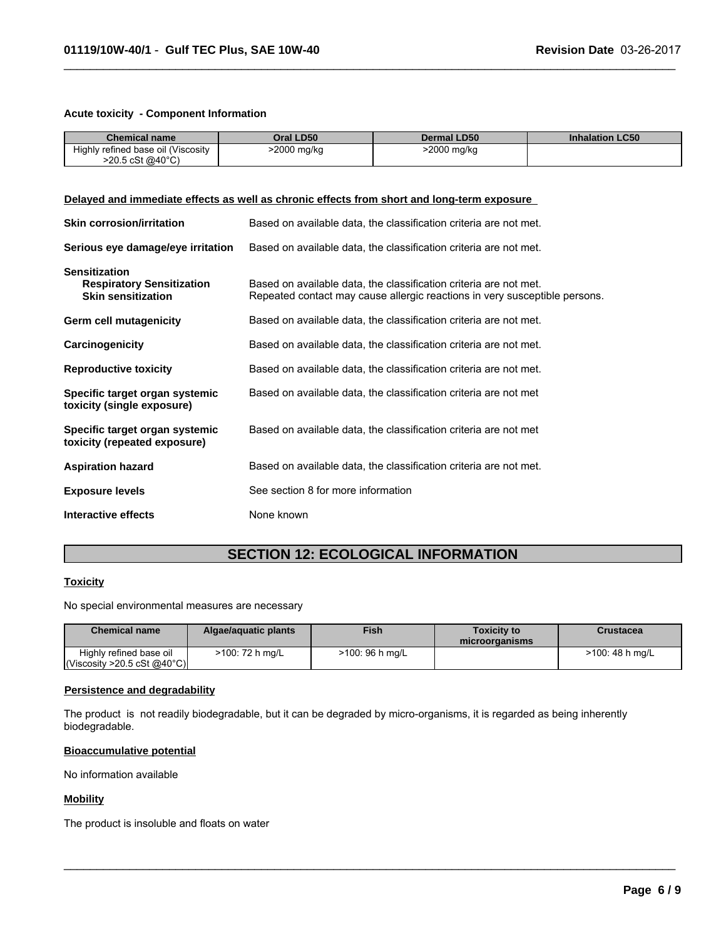#### **Acute toxicity - Component Information**

| <b>Chemical name</b>                                                                                                                                                                                                                     | Oral LD50                          | <b>Dermal LD50</b>                                                | <b>Inhalation LC50</b> |
|------------------------------------------------------------------------------------------------------------------------------------------------------------------------------------------------------------------------------------------|------------------------------------|-------------------------------------------------------------------|------------------------|
| Highly refined base oil (Viscosity<br>$>20.5 \text{ cSt } @40^{\circ}C)$                                                                                                                                                                 | >2000 mg/kg                        | $\overline{>2000}$ mg/kg                                          |                        |
|                                                                                                                                                                                                                                          |                                    |                                                                   |                        |
|                                                                                                                                                                                                                                          |                                    |                                                                   |                        |
| Delayed and immediate effects as well as chronic effects from short and long-term exposure                                                                                                                                               |                                    |                                                                   |                        |
| <b>Skin corrosion/irritation</b>                                                                                                                                                                                                         |                                    | Based on available data, the classification criteria are not met. |                        |
| Serious eye damage/eye irritation                                                                                                                                                                                                        |                                    | Based on available data, the classification criteria are not met. |                        |
| <b>Sensitization</b><br><b>Respiratory Sensitization</b><br>Based on available data, the classification criteria are not met.<br>Repeated contact may cause allergic reactions in very susceptible persons.<br><b>Skin sensitization</b> |                                    |                                                                   |                        |
| Based on available data, the classification criteria are not met.<br>Germ cell mutagenicity                                                                                                                                              |                                    |                                                                   |                        |
| Based on available data, the classification criteria are not met.<br>Carcinogenicity                                                                                                                                                     |                                    |                                                                   |                        |
| Based on available data, the classification criteria are not met.<br><b>Reproductive toxicity</b>                                                                                                                                        |                                    |                                                                   |                        |
| Specific target organ systemic<br>toxicity (single exposure)                                                                                                                                                                             |                                    | Based on available data, the classification criteria are not met  |                        |
| Specific target organ systemic<br>toxicity (repeated exposure)                                                                                                                                                                           |                                    | Based on available data, the classification criteria are not met  |                        |
| <b>Aspiration hazard</b>                                                                                                                                                                                                                 |                                    | Based on available data, the classification criteria are not met. |                        |
| <b>Exposure levels</b>                                                                                                                                                                                                                   | See section 8 for more information |                                                                   |                        |
| Interactive effects                                                                                                                                                                                                                      | None known                         |                                                                   |                        |

 $\_$  ,  $\_$  ,  $\_$  ,  $\_$  ,  $\_$  ,  $\_$  ,  $\_$  ,  $\_$  ,  $\_$  ,  $\_$  ,  $\_$  ,  $\_$  ,  $\_$  ,  $\_$  ,  $\_$  ,  $\_$  ,  $\_$  ,  $\_$  ,  $\_$  ,  $\_$  ,  $\_$  ,  $\_$  ,  $\_$  ,  $\_$  ,  $\_$  ,  $\_$  ,  $\_$  ,  $\_$  ,  $\_$  ,  $\_$  ,  $\_$  ,  $\_$  ,  $\_$  ,  $\_$  ,  $\_$  ,  $\_$  ,  $\_$  ,

# **SECTION 12: ECOLOGICAL INFORMATION**

#### **Toxicity**

No special environmental measures are necessary

| <b>Chemical name</b>                                                   | Algae/aguatic plants | <b>Fish</b>     | <b>Toxicity to</b><br>microorganisms | Crustacea       |
|------------------------------------------------------------------------|----------------------|-----------------|--------------------------------------|-----------------|
| Highly refined base oil<br>$\vert$ (Viscosity >20.5 cSt @40°C) $\vert$ | >100: 72 h mg/L      | >100: 96 h mg/L |                                      | >100: 48 h mg/L |

 $\_$  ,  $\_$  ,  $\_$  ,  $\_$  ,  $\_$  ,  $\_$  ,  $\_$  ,  $\_$  ,  $\_$  ,  $\_$  ,  $\_$  ,  $\_$  ,  $\_$  ,  $\_$  ,  $\_$  ,  $\_$  ,  $\_$  ,  $\_$  ,  $\_$  ,  $\_$  ,  $\_$  ,  $\_$  ,  $\_$  ,  $\_$  ,  $\_$  ,  $\_$  ,  $\_$  ,  $\_$  ,  $\_$  ,  $\_$  ,  $\_$  ,  $\_$  ,  $\_$  ,  $\_$  ,  $\_$  ,  $\_$  ,  $\_$  ,

#### **Persistence and degradability**

The product is not readily biodegradable, but it can be degraded by micro-organisms, it is regarded as being inherently biodegradable.

#### **Bioaccumulative potential**

No information available

#### **Mobility**

The product is insoluble and floats on water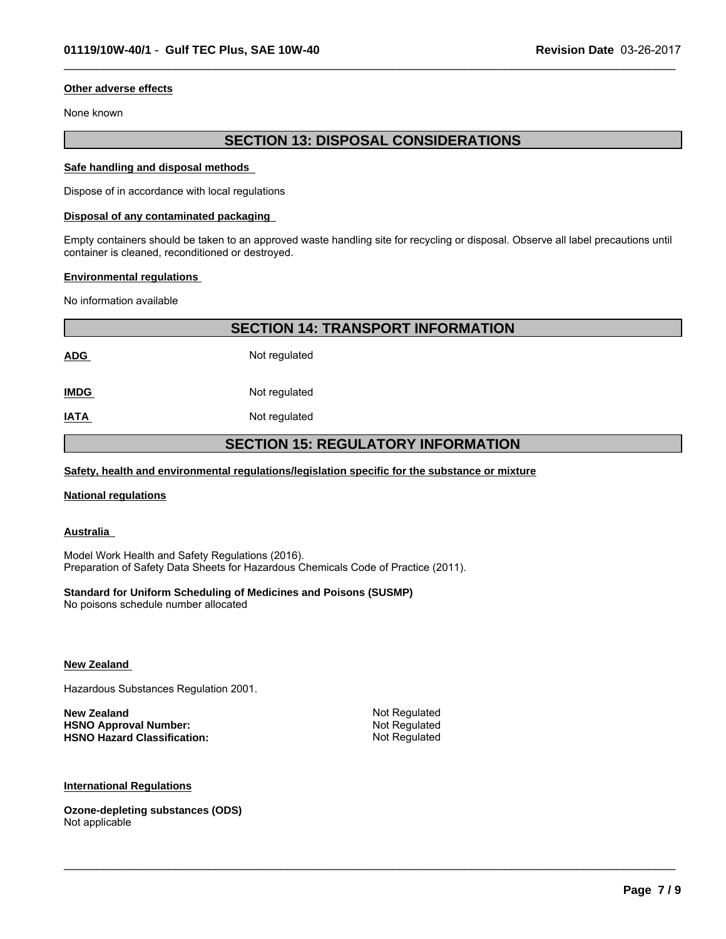#### **Other adverse effects**

None known

# **SECTION 13: DISPOSAL CONSIDERATIONS**

 $\_$  ,  $\_$  ,  $\_$  ,  $\_$  ,  $\_$  ,  $\_$  ,  $\_$  ,  $\_$  ,  $\_$  ,  $\_$  ,  $\_$  ,  $\_$  ,  $\_$  ,  $\_$  ,  $\_$  ,  $\_$  ,  $\_$  ,  $\_$  ,  $\_$  ,  $\_$  ,  $\_$  ,  $\_$  ,  $\_$  ,  $\_$  ,  $\_$  ,  $\_$  ,  $\_$  ,  $\_$  ,  $\_$  ,  $\_$  ,  $\_$  ,  $\_$  ,  $\_$  ,  $\_$  ,  $\_$  ,  $\_$  ,  $\_$  ,

#### **Safe handling and disposal methods**

Dispose of in accordance with local regulations

#### **Disposal of any contaminated packaging**

Empty containers should be taken to an approved waste handling site for recycling or disposal. Observe all label precautions until container is cleaned, reconditioned or destroyed.

#### **Environmental regulations**

No information available

|                                           | <b>SECTION 14: TRANSPORT INFORMATION</b> |  |
|-------------------------------------------|------------------------------------------|--|
| <b>ADG</b>                                | Not regulated                            |  |
| <b>IMDG</b>                               | Not regulated                            |  |
| <u>IATA</u>                               | Not regulated                            |  |
| <b>SECTION 15: REGULATORY INFORMATION</b> |                                          |  |

#### **Safety, health and environmental regulations/legislation specific for the substance or mixture**

#### **National regulations**

**Australia** 

Model Work Health and Safety Regulations (2016). Preparation of Safety Data Sheets for Hazardous Chemicals Code of Practice (2011).

#### **Standard for Uniform Scheduling of Medicines and Poisons (SUSMP)**

No poisons schedule number allocated

#### **New Zealand**

Hazardous Substances Regulation 2001.

| New Zealand                        | Not Regulated |
|------------------------------------|---------------|
| <b>HSNO Approval Number:</b>       | Not Regulated |
| <b>HSNO Hazard Classification:</b> | Not Regulated |

 $\_$  ,  $\_$  ,  $\_$  ,  $\_$  ,  $\_$  ,  $\_$  ,  $\_$  ,  $\_$  ,  $\_$  ,  $\_$  ,  $\_$  ,  $\_$  ,  $\_$  ,  $\_$  ,  $\_$  ,  $\_$  ,  $\_$  ,  $\_$  ,  $\_$  ,  $\_$  ,  $\_$  ,  $\_$  ,  $\_$  ,  $\_$  ,  $\_$  ,  $\_$  ,  $\_$  ,  $\_$  ,  $\_$  ,  $\_$  ,  $\_$  ,  $\_$  ,  $\_$  ,  $\_$  ,  $\_$  ,  $\_$  ,  $\_$  ,

#### **International Regulations**

**Ozone-depleting substances (ODS)** Not applicable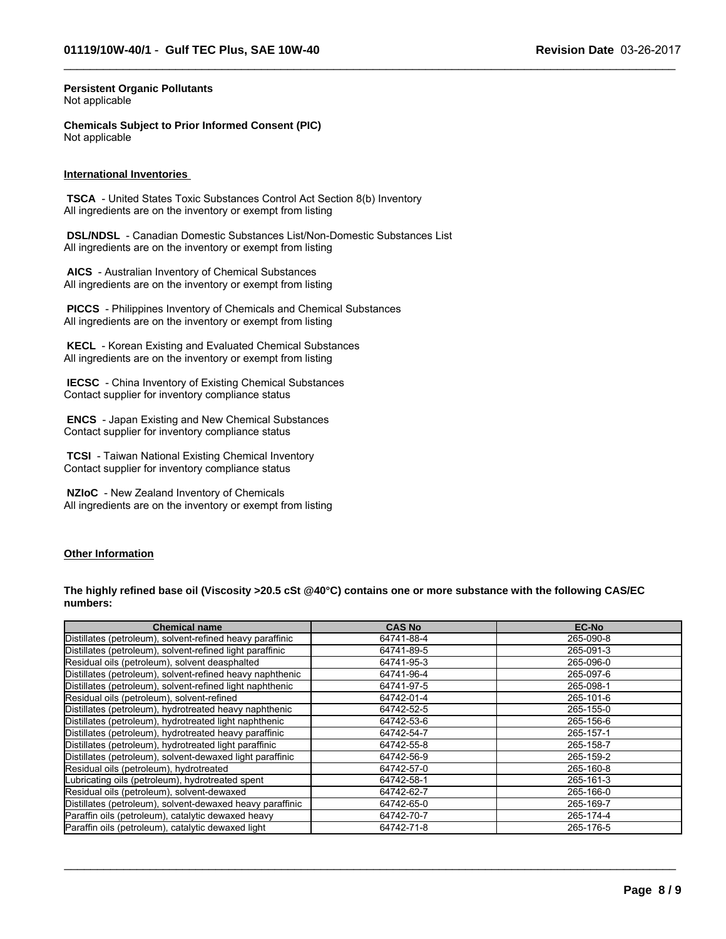$\_$  ,  $\_$  ,  $\_$  ,  $\_$  ,  $\_$  ,  $\_$  ,  $\_$  ,  $\_$  ,  $\_$  ,  $\_$  ,  $\_$  ,  $\_$  ,  $\_$  ,  $\_$  ,  $\_$  ,  $\_$  ,  $\_$  ,  $\_$  ,  $\_$  ,  $\_$  ,  $\_$  ,  $\_$  ,  $\_$  ,  $\_$  ,  $\_$  ,  $\_$  ,  $\_$  ,  $\_$  ,  $\_$  ,  $\_$  ,  $\_$  ,  $\_$  ,  $\_$  ,  $\_$  ,  $\_$  ,  $\_$  ,  $\_$  ,

#### **Persistent Organic Pollutants** Not applicable

**Chemicals Subject to Prior Informed Consent (PIC)** Not applicable

#### **International Inventories**

 **TSCA** - United States Toxic Substances Control Act Section 8(b) Inventory All ingredients are on the inventory or exempt from listing

 **DSL/NDSL** - Canadian Domestic Substances List/Non-Domestic Substances List All ingredients are on the inventory or exempt from listing

 **AICS** - Australian Inventory of Chemical Substances All ingredients are on the inventory or exempt from listing

 **PICCS** - Philippines Inventory of Chemicals and Chemical Substances All ingredients are on the inventory or exempt from listing

 **KECL** - Korean Existing and Evaluated Chemical Substances All ingredients are on the inventory or exempt from listing

 **IECSC** - China Inventory of Existing Chemical Substances Contact supplier for inventory compliance status

 **ENCS** - Japan Existing and New Chemical Substances Contact supplier for inventory compliance status

 **TCSI** - Taiwan National Existing Chemical Inventory Contact supplier for inventory compliance status

 **NZIoC** - New Zealand Inventory of Chemicals All ingredients are on the inventory or exempt from listing

#### **Other Information**

**The highly refined base oil (Viscosity >20.5 cSt @40°C) contains one or more substance with the following CAS/EC numbers:**

| <b>Chemical name</b>                                      | <b>CAS No</b> | <b>EC-No</b> |
|-----------------------------------------------------------|---------------|--------------|
| Distillates (petroleum), solvent-refined heavy paraffinic | 64741-88-4    | 265-090-8    |
| Distillates (petroleum), solvent-refined light paraffinic | 64741-89-5    | 265-091-3    |
| Residual oils (petroleum), solvent deasphalted            | 64741-95-3    | 265-096-0    |
| Distillates (petroleum), solvent-refined heavy naphthenic | 64741-96-4    | 265-097-6    |
| Distillates (petroleum), solvent-refined light naphthenic | 64741-97-5    | 265-098-1    |
| Residual oils (petroleum), solvent-refined                | 64742-01-4    | 265-101-6    |
| Distillates (petroleum), hydrotreated heavy naphthenic    | 64742-52-5    | 265-155-0    |
| Distillates (petroleum), hydrotreated light naphthenic    | 64742-53-6    | 265-156-6    |
| Distillates (petroleum), hydrotreated heavy paraffinic    | 64742-54-7    | 265-157-1    |
| Distillates (petroleum), hydrotreated light paraffinic    | 64742-55-8    | 265-158-7    |
| Distillates (petroleum), solvent-dewaxed light paraffinic | 64742-56-9    | 265-159-2    |
| Residual oils (petroleum), hydrotreated                   | 64742-57-0    | 265-160-8    |
| Lubricating oils (petroleum), hydrotreated spent          | 64742-58-1    | 265-161-3    |
| Residual oils (petroleum), solvent-dewaxed                | 64742-62-7    | 265-166-0    |
| Distillates (petroleum), solvent-dewaxed heavy paraffinic | 64742-65-0    | 265-169-7    |
| Paraffin oils (petroleum), catalytic dewaxed heavy        | 64742-70-7    | 265-174-4    |
| Paraffin oils (petroleum), catalytic dewaxed light        | 64742-71-8    | 265-176-5    |